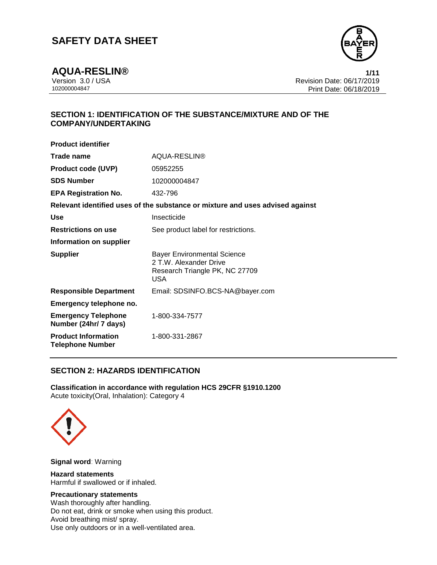

**AQUA-RESLIN® 1/11**

Version 3.0 / USA Revision Date: 06/17/2019 Print Date: 06/18/2019

# **SECTION 1: IDENTIFICATION OF THE SUBSTANCE/MIXTURE AND OF THE COMPANY/UNDERTAKING**

| <b>Product identifier</b>                             |                                                                                                       |
|-------------------------------------------------------|-------------------------------------------------------------------------------------------------------|
| Trade name                                            | AQUA-RESLIN®                                                                                          |
| <b>Product code (UVP)</b>                             | 05952255                                                                                              |
| <b>SDS Number</b>                                     | 102000004847                                                                                          |
| <b>EPA Registration No.</b>                           | 432-796                                                                                               |
|                                                       | Relevant identified uses of the substance or mixture and uses advised against                         |
| Use                                                   | Insecticide                                                                                           |
| <b>Restrictions on use</b>                            | See product label for restrictions.                                                                   |
| Information on supplier                               |                                                                                                       |
| <b>Supplier</b>                                       | <b>Bayer Environmental Science</b><br>2 T.W. Alexander Drive<br>Research Triangle PK, NC 27709<br>USA |
| <b>Responsible Department</b>                         | Email: SDSINFO.BCS-NA@bayer.com                                                                       |
| Emergency telephone no.                               |                                                                                                       |
| <b>Emergency Telephone</b><br>Number (24hr/ 7 days)   | 1-800-334-7577                                                                                        |
| <b>Product Information</b><br><b>Telephone Number</b> | 1-800-331-2867                                                                                        |

## **SECTION 2: HAZARDS IDENTIFICATION**

**Classification in accordance with regulation HCS 29CFR §1910.1200** Acute toxicity(Oral, Inhalation): Category 4



**Signal word**: Warning

**Hazard statements** Harmful if swallowed or if inhaled.

#### **Precautionary statements**

Wash thoroughly after handling. Do not eat, drink or smoke when using this product. Avoid breathing mist/ spray. Use only outdoors or in a well-ventilated area.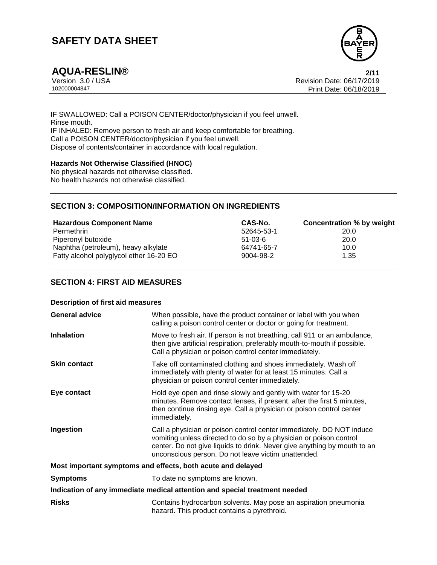

**AQUA-RESLIN® 2/11** Version 3.0 / USA Revision Date: 06/17/2019 Print Date: 06/18/2019

IF SWALLOWED: Call a POISON CENTER/doctor/physician if you feel unwell. Rinse mouth. IF INHALED: Remove person to fresh air and keep comfortable for breathing. Call a POISON CENTER/doctor/physician if you feel unwell. Dispose of contents/container in accordance with local regulation.

#### **Hazards Not Otherwise Classified (HNOC)**

No physical hazards not otherwise classified. No health hazards not otherwise classified.

## **SECTION 3: COMPOSITION/INFORMATION ON INGREDIENTS**

| <b>Hazardous Component Name</b>         | CAS-No.       | Concentration % by weight |
|-----------------------------------------|---------------|---------------------------|
| Permethrin                              | 52645-53-1    | 20.0                      |
| Piperonyl butoxide                      | $51 - 03 - 6$ | 20.0                      |
| Naphtha (petroleum), heavy alkylate     | 64741-65-7    | 10.0                      |
| Fatty alcohol polyglycol ether 16-20 EO | 9004-98-2     | 1.35                      |

#### **SECTION 4: FIRST AID MEASURES**

| <b>Description of first aid measures</b>                    |                                                                                                                                                                                                                                                                               |  |
|-------------------------------------------------------------|-------------------------------------------------------------------------------------------------------------------------------------------------------------------------------------------------------------------------------------------------------------------------------|--|
| <b>General advice</b>                                       | When possible, have the product container or label with you when<br>calling a poison control center or doctor or going for treatment.                                                                                                                                         |  |
| <b>Inhalation</b>                                           | Move to fresh air. If person is not breathing, call 911 or an ambulance,<br>then give artificial respiration, preferably mouth-to-mouth if possible.<br>Call a physician or poison control center immediately.                                                                |  |
| <b>Skin contact</b>                                         | Take off contaminated clothing and shoes immediately. Wash off<br>immediately with plenty of water for at least 15 minutes. Call a<br>physician or poison control center immediately.                                                                                         |  |
| Eye contact                                                 | Hold eye open and rinse slowly and gently with water for 15-20<br>minutes. Remove contact lenses, if present, after the first 5 minutes,<br>then continue rinsing eye. Call a physician or poison control center<br>immediately.                                              |  |
| Ingestion                                                   | Call a physician or poison control center immediately. DO NOT induce<br>vomiting unless directed to do so by a physician or poison control<br>center. Do not give liquids to drink. Never give anything by mouth to an<br>unconscious person. Do not leave victim unattended. |  |
| Most important symptoms and effects, both acute and delayed |                                                                                                                                                                                                                                                                               |  |
| <b>Symptoms</b>                                             | To date no symptoms are known.                                                                                                                                                                                                                                                |  |
|                                                             | Indication of any immediate medical attention and special treatment needed                                                                                                                                                                                                    |  |
| <b>Risks</b>                                                | Contains hydrocarbon solvents. May pose an aspiration pneumonia<br>hazard. This product contains a pyrethroid.                                                                                                                                                                |  |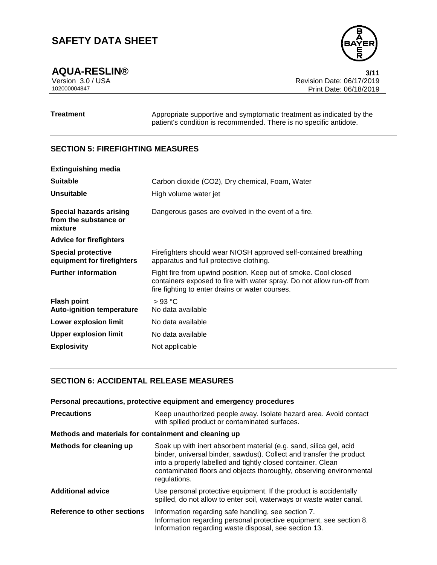**AQUA-RESLIN®** 3/11<br>Version 3.0 / USA 3011 Version 3.0 / USA Revision Date: 06/17/2019<br>102000004847 Print Date: 06/18/2019 Print Date: 06/18/2019

**Treatment** Appropriate supportive and symptomatic treatment as indicated by the patient's condition is recommended. There is no specific antidote.

## **SECTION 5: FIREFIGHTING MEASURES**

| <b>Extinguishing media</b>                                         |                                                                                                                                                                                              |
|--------------------------------------------------------------------|----------------------------------------------------------------------------------------------------------------------------------------------------------------------------------------------|
| <b>Suitable</b>                                                    | Carbon dioxide (CO2), Dry chemical, Foam, Water                                                                                                                                              |
| Unsuitable                                                         | High volume water jet                                                                                                                                                                        |
| <b>Special hazards arising</b><br>from the substance or<br>mixture | Dangerous gases are evolved in the event of a fire.                                                                                                                                          |
| <b>Advice for firefighters</b>                                     |                                                                                                                                                                                              |
| <b>Special protective</b><br>equipment for firefighters            | Firefighters should wear NIOSH approved self-contained breathing<br>apparatus and full protective clothing.                                                                                  |
| <b>Further information</b>                                         | Fight fire from upwind position. Keep out of smoke. Cool closed<br>containers exposed to fire with water spray. Do not allow run-off from<br>fire fighting to enter drains or water courses. |
| <b>Flash point</b><br><b>Auto-ignition temperature</b>             | $>93$ °C<br>No data available                                                                                                                                                                |
| Lower explosion limit                                              | No data available                                                                                                                                                                            |
| <b>Upper explosion limit</b>                                       | No data available                                                                                                                                                                            |
| <b>Explosivity</b>                                                 | Not applicable                                                                                                                                                                               |

# **SECTION 6: ACCIDENTAL RELEASE MEASURES**

|                                                       | Personal precautions, protective equipment and emergency procedures                                                                                                                                                                                                                               |  |
|-------------------------------------------------------|---------------------------------------------------------------------------------------------------------------------------------------------------------------------------------------------------------------------------------------------------------------------------------------------------|--|
| <b>Precautions</b>                                    | Keep unauthorized people away. Isolate hazard area. Avoid contact<br>with spilled product or contaminated surfaces.                                                                                                                                                                               |  |
| Methods and materials for containment and cleaning up |                                                                                                                                                                                                                                                                                                   |  |
| Methods for cleaning up                               | Soak up with inert absorbent material (e.g. sand, silica gel, acid<br>binder, universal binder, sawdust). Collect and transfer the product<br>into a properly labelled and tightly closed container. Clean<br>contaminated floors and objects thoroughly, observing environmental<br>regulations. |  |
| <b>Additional advice</b>                              | Use personal protective equipment. If the product is accidentally<br>spilled, do not allow to enter soil, waterways or waste water canal.                                                                                                                                                         |  |
| Reference to other sections                           | Information regarding safe handling, see section 7.<br>Information regarding personal protective equipment, see section 8.<br>Information regarding waste disposal, see section 13.                                                                                                               |  |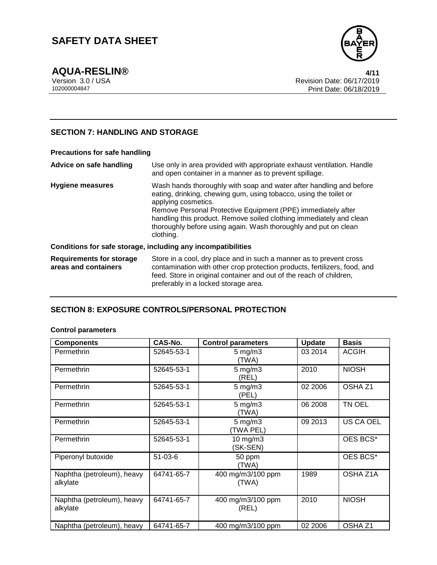

**AQUA-RESLIN® 4/11**

Version 3.0 / USA Revision Date: 06/17/2019<br>102000004847<br>Print Date: 06/18/2019 Print Date: 06/18/2019

## **SECTION 7: HANDLING AND STORAGE**

#### **Precautions for safe handling Advice on safe handling** Use only in area provided with appropriate exhaust ventilation. Handle and open container in a manner as to prevent spillage. **Hygiene measures** Wash hands thoroughly with soap and water after handling and before eating, drinking, chewing gum, using tobacco, using the toilet or applying cosmetics. Remove Personal Protective Equipment (PPE) immediately after handling this product. Remove soiled clothing immediately and clean thoroughly before using again. Wash thoroughly and put on clean clothing. **Conditions for safe storage, including any incompatibilities Requirements for storage areas and containers** Store in a cool, dry place and in such a manner as to prevent cross contamination with other crop protection products, fertilizers, food, and feed. Store in original container and out of the reach of children, preferably in a locked storage area.

## **SECTION 8: EXPOSURE CONTROLS/PERSONAL PROTECTION**

#### **Control parameters**

| <b>Components</b>                      | CAS-No.       | <b>Control parameters</b>       | <b>Update</b> | <b>Basis</b>       |
|----------------------------------------|---------------|---------------------------------|---------------|--------------------|
| Permethrin                             | 52645-53-1    | $5 \text{ mg/m}$ 3<br>(TWA)     | 03 2014       | <b>ACGIH</b>       |
| Permethrin                             | 52645-53-1    | $5 \text{ mg/m}$ 3<br>(REL)     | 2010          | <b>NIOSH</b>       |
| Permethrin                             | 52645-53-1    | $5$ mg/m $3$<br>(PEL)           | 02 2006       | OSHA <sub>Z1</sub> |
| Permethrin                             | 52645-53-1    | $5$ mg/m $3$<br>(TWA)           | 06 2008       | TN OEL             |
| Permethrin                             | 52645-53-1    | $5 \text{ mg/m}$ 3<br>(TWA PEL) | 09 2013       | US CA OEL          |
| Permethrin                             | 52645-53-1    | $10$ mg/m $3$<br>(SK-SEN)       |               | OES BCS*           |
| Piperonyl butoxide                     | $51 - 03 - 6$ | 50 ppm<br>(TWA)                 |               | OES BCS*           |
| Naphtha (petroleum), heavy<br>alkylate | 64741-65-7    | 400 mg/m3/100 ppm<br>(TWA)      | 1989          | OSHA Z1A           |
| Naphtha (petroleum), heavy<br>alkylate | 64741-65-7    | 400 mg/m3/100 ppm<br>(REL)      | 2010          | <b>NIOSH</b>       |
| Naphtha (petroleum), heavy             | 64741-65-7    | 400 mg/m3/100 ppm               | 02 2006       | OSHA <sub>Z1</sub> |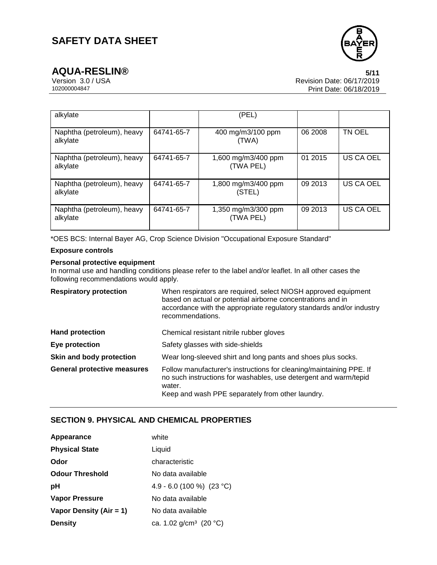

| alkylate                               |            | (PEL)                            |         |               |
|----------------------------------------|------------|----------------------------------|---------|---------------|
| Naphtha (petroleum), heavy<br>alkylate | 64741-65-7 | 400 mg/m3/100 ppm<br>(TWA)       | 06 2008 | <b>TN OEL</b> |
| Naphtha (petroleum), heavy<br>alkylate | 64741-65-7 | 1,600 mg/m3/400 ppm<br>(TWA PEL) | 01 2015 | US CA OEL     |
| Naphtha (petroleum), heavy<br>alkylate | 64741-65-7 | 1,800 mg/m3/400 ppm<br>(STEL)    | 09 2013 | US CA OEL     |
| Naphtha (petroleum), heavy<br>alkylate | 64741-65-7 | 1,350 mg/m3/300 ppm<br>(TWA PEL) | 09 2013 | US CA OEL     |

\*OES BCS: Internal Bayer AG, Crop Science Division "Occupational Exposure Standard"

#### **Exposure controls**

#### **Personal protective equipment**

In normal use and handling conditions please refer to the label and/or leaflet. In all other cases the following recommendations would apply.

| <b>Respiratory protection</b>      | When respirators are required, select NIOSH approved equipment<br>based on actual or potential airborne concentrations and in<br>accordance with the appropriate regulatory standards and/or industry<br>recommendations. |  |
|------------------------------------|---------------------------------------------------------------------------------------------------------------------------------------------------------------------------------------------------------------------------|--|
| <b>Hand protection</b>             | Chemical resistant nitrile rubber gloves                                                                                                                                                                                  |  |
| Eye protection                     | Safety glasses with side-shields                                                                                                                                                                                          |  |
| Skin and body protection           | Wear long-sleeved shirt and long pants and shoes plus socks.                                                                                                                                                              |  |
| <b>General protective measures</b> | Follow manufacturer's instructions for cleaning/maintaining PPE. If<br>no such instructions for washables, use detergent and warm/tepid<br>water.<br>Keep and wash PPE separately from other laundry.                     |  |

## **SECTION 9. PHYSICAL AND CHEMICAL PROPERTIES**

| Appearance              | white                              |
|-------------------------|------------------------------------|
| <b>Physical State</b>   | Liquid                             |
| Odor                    | characteristic                     |
| <b>Odour Threshold</b>  | No data available                  |
| рH                      | 4.9 - 6.0 (100 %) (23 °C)          |
| Vapor Pressure          | No data available                  |
| Vapor Density (Air = 1) | No data available                  |
| <b>Density</b>          | ca. 1.02 g/cm <sup>3</sup> (20 °C) |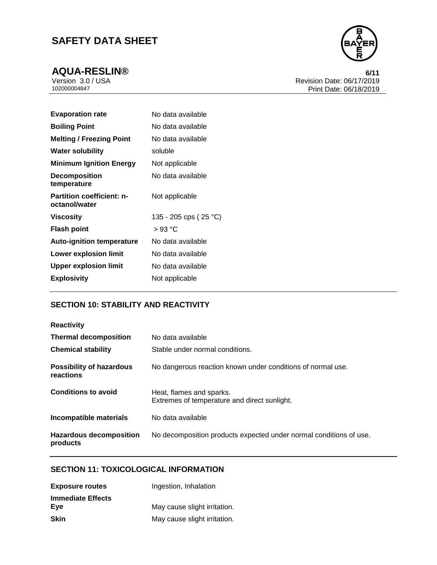

**AQUA-RESLIN®** 6/11<br>Version 3.0 / USA 6/17/2019 Version 3.0 / USA Revision Date: 06/17/2019<br>102000004847 Print Date: 06/18/2019 Print Date: 06/18/2019

| No data available     |
|-----------------------|
| No data available     |
| No data available     |
| soluble               |
| Not applicable        |
| No data available     |
| Not applicable        |
| 135 - 205 cps (25 °C) |
| $>93\text{ °C}$       |
| No data available     |
| No data available     |
| No data available     |
| Not applicable        |
|                       |

## **SECTION 10: STABILITY AND REACTIVITY**

| <b>Reactivity</b>                            |                                                                          |
|----------------------------------------------|--------------------------------------------------------------------------|
| <b>Thermal decomposition</b>                 | No data available                                                        |
| <b>Chemical stability</b>                    | Stable under normal conditions.                                          |
| <b>Possibility of hazardous</b><br>reactions | No dangerous reaction known under conditions of normal use.              |
| <b>Conditions to avoid</b>                   | Heat, flames and sparks.<br>Extremes of temperature and direct sunlight. |
| Incompatible materials                       | No data available                                                        |
| <b>Hazardous decomposition</b><br>products   | No decomposition products expected under normal conditions of use.       |

# **SECTION 11: TOXICOLOGICAL INFORMATION**

| <b>Exposure routes</b>   | Ingestion, Inhalation        |
|--------------------------|------------------------------|
| <b>Immediate Effects</b> |                              |
| Eve                      | May cause slight irritation. |
| <b>Skin</b>              | May cause slight irritation. |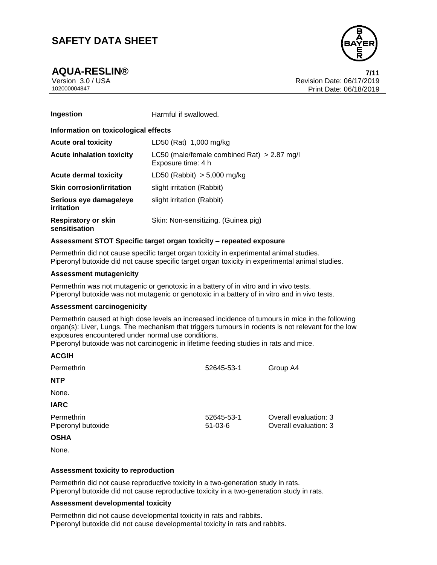**AQUA-RESLIN® 7/11**



Version 3.0 / USA Revision Date: 06/17/2019<br>102000004847<br>Print Date: 06/18/2019 Print Date: 06/18/2019

| Ingestion                                   | Harmful if swallowed.                                               |  |
|---------------------------------------------|---------------------------------------------------------------------|--|
| Information on toxicological effects        |                                                                     |  |
| <b>Acute oral toxicity</b>                  | LD50 (Rat) 1,000 mg/kg                                              |  |
| <b>Acute inhalation toxicity</b>            | LC50 (male/female combined Rat) $> 2.87$ mg/l<br>Exposure time: 4 h |  |
| Acute dermal toxicity                       | $LD50$ (Rabbit) $> 5,000$ mg/kg                                     |  |
| <b>Skin corrosion/irritation</b>            | slight irritation (Rabbit)                                          |  |
| Serious eye damage/eye<br>irritation        | slight irritation (Rabbit)                                          |  |
| <b>Respiratory or skin</b><br>sensitisation | Skin: Non-sensitizing. (Guinea pig)                                 |  |

#### **Assessment STOT Specific target organ toxicity – repeated exposure**

Permethrin did not cause specific target organ toxicity in experimental animal studies. Piperonyl butoxide did not cause specific target organ toxicity in experimental animal studies.

#### **Assessment mutagenicity**

Permethrin was not mutagenic or genotoxic in a battery of in vitro and in vivo tests. Piperonyl butoxide was not mutagenic or genotoxic in a battery of in vitro and in vivo tests.

#### **Assessment carcinogenicity**

Permethrin caused at high dose levels an increased incidence of tumours in mice in the following organ(s): Liver, Lungs. The mechanism that triggers tumours in rodents is not relevant for the low exposures encountered under normal use conditions.

Piperonyl butoxide was not carcinogenic in lifetime feeding studies in rats and mice.

| <b>ACGIH</b>                     |                             |                                                |
|----------------------------------|-----------------------------|------------------------------------------------|
| Permethrin                       | 52645-53-1                  | Group A4                                       |
| <b>NTP</b>                       |                             |                                                |
| None.                            |                             |                                                |
| <b>IARC</b>                      |                             |                                                |
| Permethrin<br>Piperonyl butoxide | 52645-53-1<br>$51 - 03 - 6$ | Overall evaluation: 3<br>Overall evaluation: 3 |
| <b>OSHA</b>                      |                             |                                                |
| None.                            |                             |                                                |

#### **Assessment toxicity to reproduction**

Permethrin did not cause reproductive toxicity in a two-generation study in rats. Piperonyl butoxide did not cause reproductive toxicity in a two-generation study in rats.

#### **Assessment developmental toxicity**

Permethrin did not cause developmental toxicity in rats and rabbits. Piperonyl butoxide did not cause developmental toxicity in rats and rabbits.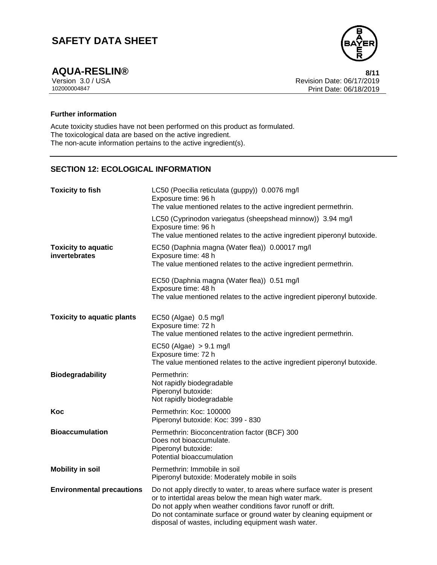

**AQUA-RESLIN®** 8/11<br>Version 3.0 / USA 8/12 Version 3.0 / USA Revision Date: 06/17/2019<br>102000004847 Print Date: 06/18/2019 Print Date: 06/18/2019

## **Further information**

Acute toxicity studies have not been performed on this product as formulated. The toxicological data are based on the active ingredient. The non-acute information pertains to the active ingredient(s).

## **SECTION 12: ECOLOGICAL INFORMATION**

| <b>Toxicity to fish</b>                     | LC50 (Poecilia reticulata (guppy)) 0.0076 mg/l<br>Exposure time: 96 h<br>The value mentioned relates to the active ingredient permethrin.                                                                                                                                                                                      |
|---------------------------------------------|--------------------------------------------------------------------------------------------------------------------------------------------------------------------------------------------------------------------------------------------------------------------------------------------------------------------------------|
|                                             | LC50 (Cyprinodon variegatus (sheepshead minnow)) 3.94 mg/l<br>Exposure time: 96 h<br>The value mentioned relates to the active ingredient piperonyl butoxide.                                                                                                                                                                  |
| <b>Toxicity to aquatic</b><br>invertebrates | EC50 (Daphnia magna (Water flea)) 0.00017 mg/l<br>Exposure time: 48 h<br>The value mentioned relates to the active ingredient permethrin.                                                                                                                                                                                      |
|                                             | EC50 (Daphnia magna (Water flea)) 0.51 mg/l<br>Exposure time: 48 h<br>The value mentioned relates to the active ingredient piperonyl butoxide.                                                                                                                                                                                 |
| <b>Toxicity to aquatic plants</b>           | EC50 (Algae) 0.5 mg/l<br>Exposure time: 72 h<br>The value mentioned relates to the active ingredient permethrin.                                                                                                                                                                                                               |
|                                             | $EC50$ (Algae) $> 9.1$ mg/l<br>Exposure time: 72 h<br>The value mentioned relates to the active ingredient piperonyl butoxide.                                                                                                                                                                                                 |
| <b>Biodegradability</b>                     | Permethrin:<br>Not rapidly biodegradable<br>Piperonyl butoxide:<br>Not rapidly biodegradable                                                                                                                                                                                                                                   |
| Koc                                         | Permethrin: Koc: 100000<br>Piperonyl butoxide: Koc: 399 - 830                                                                                                                                                                                                                                                                  |
| <b>Bioaccumulation</b>                      | Permethrin: Bioconcentration factor (BCF) 300<br>Does not bioaccumulate.<br>Piperonyl butoxide:<br>Potential bioaccumulation                                                                                                                                                                                                   |
| <b>Mobility in soil</b>                     | Permethrin: Immobile in soil<br>Piperonyl butoxide: Moderately mobile in soils                                                                                                                                                                                                                                                 |
| <b>Environmental precautions</b>            | Do not apply directly to water, to areas where surface water is present<br>or to intertidal areas below the mean high water mark.<br>Do not apply when weather conditions favor runoff or drift.<br>Do not contaminate surface or ground water by cleaning equipment or<br>disposal of wastes, including equipment wash water. |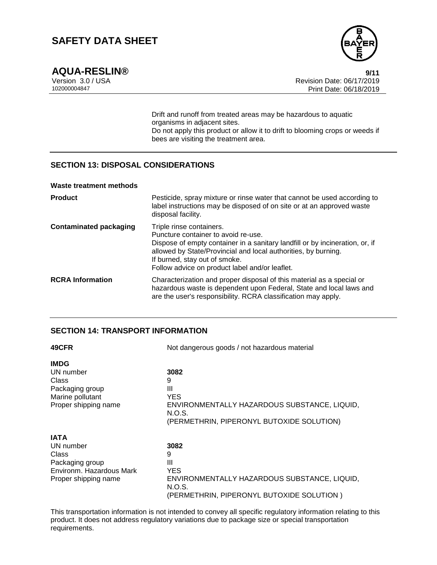

**AQUA-RESLIN®** 9/11<br>Version 3.0 / USA 9/12/2019 Version 3.0 / USA Revision Date: 06/17/2019 Print Date: 06/18/2019

> Drift and runoff from treated areas may be hazardous to aquatic organisms in adjacent sites. Do not apply this product or allow it to drift to blooming crops or weeds if bees are visiting the treatment area.

## **SECTION 13: DISPOSAL CONSIDERATIONS**

#### **Waste treatment methods**

| <b>Product</b>                | Pesticide, spray mixture or rinse water that cannot be used according to<br>label instructions may be disposed of on site or at an approved waste<br>disposal facility.                                                                                                                              |
|-------------------------------|------------------------------------------------------------------------------------------------------------------------------------------------------------------------------------------------------------------------------------------------------------------------------------------------------|
| <b>Contaminated packaging</b> | Triple rinse containers.<br>Puncture container to avoid re-use.<br>Dispose of empty container in a sanitary landfill or by incineration, or, if<br>allowed by State/Provincial and local authorities, by burning.<br>If burned, stay out of smoke.<br>Follow advice on product label and/or leaflet. |
| <b>RCRA Information</b>       | Characterization and proper disposal of this material as a special or<br>hazardous waste is dependent upon Federal, State and local laws and<br>are the user's responsibility. RCRA classification may apply.                                                                                        |

## **SECTION 14: TRANSPORT INFORMATION**

| 49CFR                    | Not dangerous goods / not hazardous material           |  |
|--------------------------|--------------------------------------------------------|--|
| <b>IMDG</b>              |                                                        |  |
| UN number                | 3082                                                   |  |
| Class                    | 9                                                      |  |
| Packaging group          | Ш                                                      |  |
| Marine pollutant         | <b>YES</b>                                             |  |
| Proper shipping name     | ENVIRONMENTALLY HAZARDOUS SUBSTANCE, LIQUID,           |  |
|                          | N.O.S.                                                 |  |
|                          | (PERMETHRIN, PIPERONYL BUTOXIDE SOLUTION)              |  |
| <b>IATA</b>              |                                                        |  |
| UN number                | 3082                                                   |  |
| Class                    | 9                                                      |  |
| Packaging group          | Ш                                                      |  |
| Environm. Hazardous Mark | <b>YES</b>                                             |  |
| Proper shipping name     | ENVIRONMENTALLY HAZARDOUS SUBSTANCE, LIQUID,<br>N.O.S. |  |
|                          | (PERMETHRIN, PIPERONYL BUTOXIDE SOLUTION)              |  |

This transportation information is not intended to convey all specific regulatory information relating to this product. It does not address regulatory variations due to package size or special transportation requirements.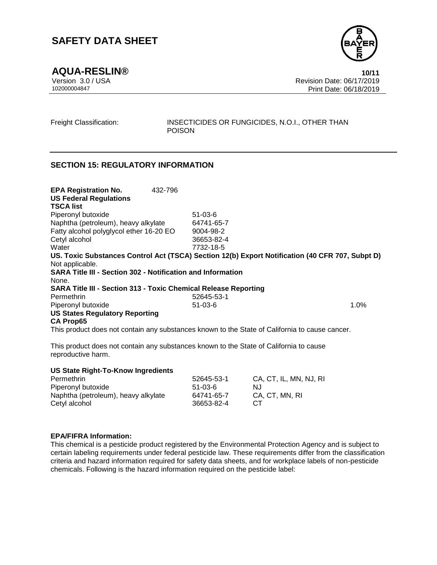**AQUA-RESLIN® 10/11**

Version 3.0 / USA Revision Date: 06/17/2019 102000004847 Print Date: 06/18/2019

Freight Classification: INSECTICIDES OR FUNGICIDES, N.O.I., OTHER THAN POISON

## **SECTION 15: REGULATORY INFORMATION**

**EPA Registration No.** 432-796 **US Federal Regulations** Piperonyl butoxide 51-03-6 Naphtha (petroleum), heavy alkylate 64741-65-7 Fatty alcohol polyglycol ether 16-20 EO 9004-98-2 Cetyl alcohol 36653-82-4 Water 7732-18-5 **US. Toxic Substances Control Act (TSCA) Section 12(b) Export Notification (40 CFR 707, Subpt D)** Not applicable. **SARA Title III - Section 302 - Notification and Information** None. **SARA Title III - Section 313 - Toxic Chemical Release Reporting** Permethrin 52645-53-1 Piperonyl butoxide 1.0% **US States Regulatory Reporting CA Prop65** This product does not contain any substances known to the State of California to cause cancer.

This product does not contain any substances known to the State of California to cause reproductive harm.

| <b>US State Right-To-Know Ingredients</b> |            |                        |
|-------------------------------------------|------------|------------------------|
| Permethrin                                | 52645-53-1 | CA. CT. IL. MN. NJ. RI |
| Piperonyl butoxide                        | $51-03-6$  | N.J                    |
| Naphtha (petroleum), heavy alkylate       | 64741-65-7 | CA, CT, MN, RI         |
| Cetyl alcohol                             | 36653-82-4 | CT.                    |

#### **EPA/FIFRA Information:**

This chemical is a pesticide product registered by the Environmental Protection Agency and is subject to certain labeling requirements under federal pesticide law. These requirements differ from the classification criteria and hazard information required for safety data sheets, and for workplace labels of non-pesticide chemicals. Following is the hazard information required on the pesticide label:



**TSCA list**